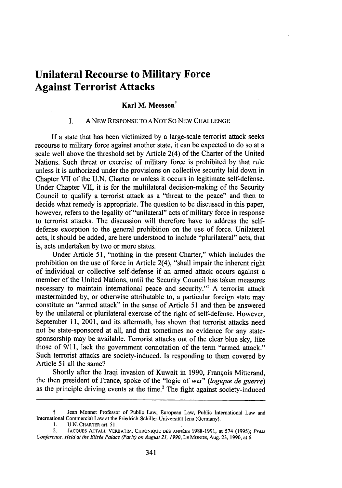# **Unilateral Recourse to Military Force Against Terrorist Attacks**

## Karl M. Meessen<sup>t</sup>

## I. A NEW RESPONSE TO A NOT So NEW CHALLENGE

If a state that has been victimized by a large-scale terrorist attack seeks recourse to military force against another state, it can be expected to do so at a scale well above the threshold set by Article 2(4) of the Charter of the United Nations. Such threat or exercise of military force is prohibited by that rule unless it is authorized under the provisions on collective security laid down in Chapter VII of the U.N. Charter or unless it occurs in legitimate self-defense. Under Chapter VII, it is for the multilateral decision-making of the Security Council to qualify a terrorist attack as a "threat to the peace" and then to decide what remedy is appropriate. The question to be discussed in this paper, however, refers to the legality of "unilateral" acts of military force in response to terrorist attacks. The discussion will therefore have to address the selfdefense exception to the general prohibition on the use of force. Unilateral acts, it should be added, are here understood to include "plurilateral" acts, that is, acts undertaken by two or more states.

Under Article 51, "nothing in the present Charter," which includes the prohibition on the use of force in Article 2(4), "shall impair the inherent right of individual or collective self-defense if an armed attack occurs against a member of the United Nations, until the Security Council has taken measures necessary to maintain international peace and security."' A terrorist attack masterminded by, or otherwise attributable to, a particular foreign state may constitute an "armed attack" in the sense of Article 51 and then be answered by the unilateral or plurilateral exercise of the right of self-defense. However, September 11, 2001, and its aftermath, has shown that terrorist attacks need not be state-sponsored at all, and that sometimes no evidence for any statesponsorship may be available. Terrorist attacks out of the clear blue sky, like those of 9/11, lack the government connotation of the term "armed attack." Such terrorist attacks are society-induced. Is responding to them covered by Article 51 all the same?

Shortly after the Iraqi invasion of Kuwait in 1990, Frangois Mitterand, the then president of France, spoke of the "logic of war" *(logique de guerre)* as the principle driving events at the time.' The fight against society-induced

Jean Monnet Professor of Public Law, European Law, Public International Law and International Commercial Law at the Friedrich-Schiller-Universität Jena (Germany).

<sup>1.</sup> U.N.CHARTER art. 51.

<sup>2.</sup> JACQUES ATrALI, VERBATIM, CHRONIQUE DES ANNtES 1988-1991, at 574 (1995); *Press Conference, Held at the Elisde Palace (Paris) on August 21, 1990,* LE **MONDE,** Aug. 23, 1990, at 6.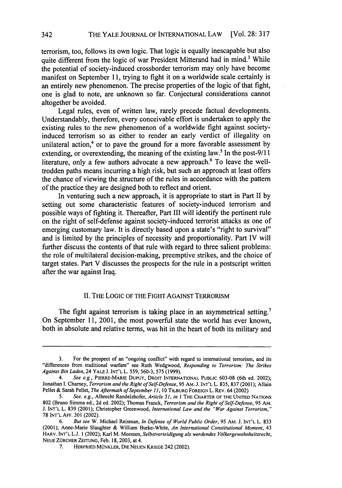terrorism, too, follows its own logic. That logic is equally inescapable but also quite different from the logic of war President Mitterand had in mind.<sup>3</sup> While the potential of society-induced crossborder terrorism may only have become manifest on September 11, trying to fight it on a worldwide scale certainly is an entirely new phenomenon. The precise properties of the logic of that fight, one is glad to note, are unknown so far. Conjectural considerations cannot altogether be avoided.

Legal rules, even of written law, rarely precede factual developments. Understandably, therefore, every conceivable effort is undertaken to apply the existing rules to the new phenomenon of a worldwide fight against societyinduced terrorism so as either to render an early verdict of illegality on unilateral action, $4$  or to pave the ground for a more favorable assessment by extending, or overextending, the meaning of the existing law.<sup>5</sup> In the post-9/11 literature, only a few authors advocate a new approach.<sup>6</sup> To leave the welltrodden paths means incurring a high risk, but such an approach at least offers the chance of viewing the structure of the rules in accordance with the pattern of the practice they are designed both to reflect and orient.

In venturing such a new approach, it is appropriate to start in Part II by setting out some characteristic features of society-induced terrorism and possible ways of fighting it. Thereafter, Part III will identify the pertinent rule on the right of self-defense against society-induced terrorist attacks as one of emerging customary law. It is directly based upon a state's "right to survival" and is limited by the principles of necessity and proportionality. Part IV will further discuss the contents of that rule with regard to three salient problems: the role of multilateral decision-making, preemptive strikes, and the choice of target states. Part V discusses the prospects for the rule in a postscript written after the war against Iraq.

## II. THE LOGIC OF THE FIGHT AGAINST TERRORISM

The fight against terrorism is taking place in an asymmetrical setting.<sup>7</sup> On September 11, 2001, the most powerful state the world has ever known, both in absolute and relative terms, was hit in the heart of both its military and

<sup>3.</sup> For the prospect of an "ongoing conflict" with regard to international terrorism, and its "differences from traditional warfare" see Ruth Wedgwood, *Responding to Terrorism: The Strikes Against Bin Laden,* 24 YALE J. INT'L L. 559, 560-3, 575 (1999).

*<sup>4.</sup> See e.g.,* PIERRE-MARIE Dupuy, DROIT INTERNATIONAL PUBLIC 603-08 (6th ed. 2002); Jonathan I. Charney, *Terrorism and the Right of Self-Defense,* 95 AM. J. INT'L L. 835, 837 (2001); Allain Pellet & Sarah Pellet, *The Aftermath of September 11,* 10 TILBURG FOREIGN L. REv. 64 (2002)

<sup>5.</sup> See, e.g., Albrecht Randelzhofer, *Article 51*, in 1 THE CHARTER OF THE UNITED NATIONS 802 (Bruno Simma ed., 2d ed. 2002); Thomas Franck, *Terrorism and the Right of Self-Defense,* 95 AM. J. INT'L L. 839 (2001); Christopher Greenwood, *International Law and the "War Against Terrorism,"* 78 INT'L AFF. 301 (2002).

<sup>6.</sup> *But see* W. Michael Reisman, *In Defense of World Public Order,* 95 AM. J. INT'L L. 833 (2001); Anne-Marie Slaughter & William Burke-White, *An International Constitutional Moment,* 43 HARV. INT'L L.J. 1 (2002); Karl M. Meessen, Selbstverteidigung als werdendes Völkergewohnheitsrecht, NEUE ZÜRCHER ZEITUNG, Feb. 18, 2003, at 4.

<sup>7.</sup> HERFRIED MÜNKLER, DIE NEUEN KRIEGE 242 (2002).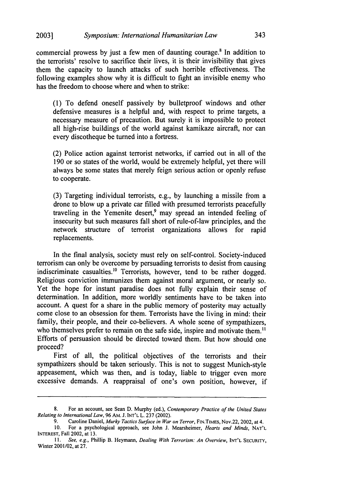commercial prowess by just a few men of daunting courage.<sup>8</sup> In addition to the terrorists' resolve to sacrifice their lives, it is their invisibility that gives them the capacity to launch attacks of such horrible effectiveness. The following examples show why it is difficult to fight an invisible enemy who has the freedom to choose where and when to strike:

(1) To defend oneself passively by bulletproof windows and other defensive measures is a helpful and, with respect to prime targets, a necessary measure of precaution. But surely it is impossible to protect all high-rise buildings of the world against kamikaze aircraft, nor can every discotheque be turned into a fortress.

(2) Police action against terrorist networks, if carried out in all of the 190 or so states of the world, would be extremely helpful, yet there will always be some states that merely feign serious action or openly refuse to cooperate.

(3) Targeting individual terrorists, e.g., by launching a missile from a drone to blow up a private car filled with presumed terrorists peacefully traveling in the Yemenite desert,<sup>9</sup> may spread an intended feeling of insecurity but such measures fall short of rule-of-law principles, and the network structure of terrorist organizations allows for rapid replacements.

In the final analysis, society must rely on self-control. Society-induced terrorism can only be overcome by persuading terrorists to desist from causing indiscriminate casualties.<sup>10</sup> Terrorists, however, tend to be rather dogged. Religious conviction immunizes them against moral argument, or nearly so. Yet the hope for instant paradise does not fully explain their sense of determination. In addition, more worldly sentiments have to be taken into account. A quest for a share in the public memory of posterity may actually come close to an obsession for them. Terrorists have the living in mind: their family, their people, and their co-believers. A whole scene of sympathizers, who themselves prefer to remain on the safe side, inspire and motivate them.<sup>11</sup> Efforts of persuasion should be directed toward them. But how should one proceed?

First of all, the political objectives of the terrorists and their sympathizers should be taken seriously. This is not to suggest Munich-style appeasement, which was then, and is today, liable to trigger even more excessive demands. A reappraisal of one's own position, however, if

<sup>8.</sup> For an account, see Scan D. Murphy (ed.), *Contemporary Practice of the United States Relating to International Law,* 96 AM. **J. INT'L** L. 237 (2002).

<sup>9.</sup> Caroline Daniel, *Murky Tactics Surface in War on Terror,* FIN.TIMES, Nov.22, 2002, at 4.

<sup>10.</sup> For a psychological approach, see John J. Mearsheimer, *Hearts and Minds,* **NAT'L INTEREST,** Fall 2002, at 13.

*<sup>11.</sup> See, e.g.,* Phillip B. Heymann, *Dealing With Terrorism: An Overview,* **INT'L** SECURiTY, Winter 2001/02, at 27.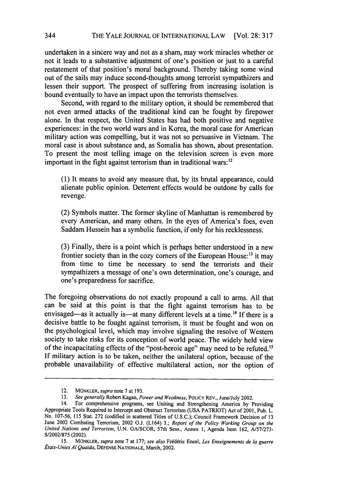undertaken in a sincere way and not as a sham, may work miracles whether or not it leads to a substantive adjustment of one's position or just to a careful restatement of that position's moral background. Thereby taking some wind out of the sails may induce second-thoughts among terrorist sympathizers and lessen their support. The prospect of suffering from increasing isolation is bound eventually to have an impact upon the terrorists themselves.

Second, with regard to the military option, it should be remembered that not even armed attacks of the traditional kind can be fought by firepower alone. In that respect, the United States has had both positive and negative experiences: in the two world wars and in Korea, the moral case for American military action was compelling, but it was not so persuasive in Vietnam. The moral case is about substance and, as Somalia has shown, about presentation. To present the most telling image on the television screen is even more important in the fight against terrorism than in traditional wars: $<sup>12</sup>$ </sup>

(1) It means to avoid any measure that, by its brutal appearance, could alienate public opinion. Deterrent effects would be outdone by calls for revenge.

(2) Symbols matter. The former skyline of Manhattan is remembered by every American, and many others. In the eyes of America's foes, even Saddam Hussein has a symbolic function, if only for his recklessness.

(3) Finally, there is a point which is perhaps better understood in a new frontier society than in the cozy corners of the European House:<sup>13</sup> it may from time to time be necessary to send the terrorists and their sympathizers a message of one's own determination, one's courage, and one's preparedness for sacrifice.

The foregoing observations do not exactly propound a call to arms. All that can be said at this point is that the fight against terrorism has to be envisaged—as it actually is—at many different levels at a time.<sup>14</sup> If there is a decisive battle to be fought against terrorism, it must be fought and won on the psychological level, which may involve signaling the resolve of Western society to take risks for its conception of world peace. The widely held view of the incapacitating effects of the "post-heroic age" may need to be refuted.'5 If military action is to be taken, neither the unilateral option, because of the probable unavailability of effective multilateral action, nor the option of

<sup>12.</sup> MÜNKLER, supra note 7 at 193.

<sup>13.</sup> See generally Robert Kagan, *Power and Weakness,* POLICY REV., June/July 2002.

<sup>14.</sup> For comprehensive programs, see Uniting and Strengthening America by Providing Appropriate Tools Required to Intercept and Obstruct Terrorism (USA PATRIOT) Act of 2001, Pub. L. No. 107-56, 115 Stat. 272 (codified in scattered Titles of U.S.C.); Council Framework Decision of 13 June 2002 Combating Terrorism, 2002 O.J. (L164) 3.; *Report of the Policy Working Group on the United Nations and Terrorism,* U.N. GA/SCOR, 57th Sess., Annex **1,** Agenda Item 162, A/57/273- S/2002/875 (2002).

**<sup>15.</sup>** MONKLER, *supra* note 7 at 177; *see* also Frederic Encel, *Les Enseignements de la guerre ttats-Unies Al Quarda,* DtFENSE **NATIONALE,** March, 2002.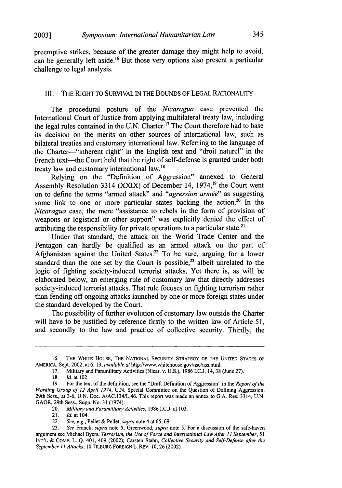preemptive strikes, because of the greater damage they might help to avoid, can be generally left aside.'6 But those very options also present a particular challenge to legal analysis.

#### III. THE RIGHT TO SURVIVAL IN THE BOUNDS OF LEGAL RATIONALITY

The procedural posture of the *Nicaragua* case prevented the International Court of Justice from applying multilateral treaty law, including the legal rules contained in the U.N. Charter.17 The Court therefore had to base its decision on the merits on other sources of international law, such as bilateral treaties and customary international law. Referring to the language of the Charter--"inherent right" in the English text and "droit naturel" in the French text-the Court held that the right of self-defense is granted under both treaty law and customary international law. $^{18}$ 

Relying on the "Definition of Aggression" annexed to General Assembly Resolution 3314 (XXIX) of December 14, 1974,'9 the Court went on to define the terms "armed attack" and *"agression arm6e"* as suggesting some link to one or more particular states backing the action.<sup>20</sup> In the *Nicaragua* case, the mere "assistance to rebels in the form of provision of weapons or logistical or other support" was explicitly denied the effect of attributing the responsibility for private operations to a particular state.<sup>21</sup>

Under that standard, the attack on the World Trade Center and the Pentagon can hardly be qualified as an armed attack on the part of Afghanistan against the United States.<sup>22</sup> To be sure, arguing for a lower standard than the one set by the Court is possible,<sup>23</sup> albeit unrelated to the logic of fighting society-induced terrorist attacks. Yet there is, as will be elaborated below, an emerging rule of customary law that directly addresses society-induced terrorist attacks. That rule focuses on fighting terrorism rather than fending off ongoing attacks launched by one or more foreign states under the standard developed by the Court.

The possibility of further evolution of customary law outside the Charter will have to be justified by reference firstly to the written law of Article *51,* and secondly to the law and practice of collective security. Thirdly, the

21. *Id.* at 104.

<sup>16.</sup> THE WHITE HOUSE, THE NATIONAL SECURITY STRATEGY OF THE UNITED STATES OF AMERICA, Sept. 2002, at 6, 13, *available at* http://www.whitehouse.gov/nsc/nss.html.

<sup>17.</sup> Military and Paramilitary Activities (Nicar. v. U.S.), 1986 I.C.J. 14, 38 (June 27).

<sup>18.</sup> **Id.** at 102.

<sup>19.</sup> For the text of the definition, see the "Draft Definition of Aggression" in the *Report of the Working Group of 12 April 1974,* U.N. Special Committee on the Question of Defining Aggression, 29th Sess., at 3-6, U.N. Doc. A/AC.134/L.46. This report was made an annex to G.A. Res. 3314, U.N. GAOR, 29th Sess., Supp. No. 31 (1974).

<sup>20.</sup> *Military and Paramilitary Activities,* 1986 I.C.J. at 103.

<sup>22.</sup> *See, e.g.,* Pellet & Pellet, *supra* note 4 at 65, 69.

<sup>23.</sup> *See* Franck, *supra* note 5; Greenwood, *supra* note 5. For a discussion of the safe-haven argument see Michael Byers, *Terrorism, the Use of Force and International Law After 11 September, 51* INT'L & COMp. L. Q. 401, 409 (2002); Carsten Stahn, *Collective Security and Self-Defense after the September 11 Attacks,* 10 TILBURG FOREIGN L. REv. **10,** 26 (2002).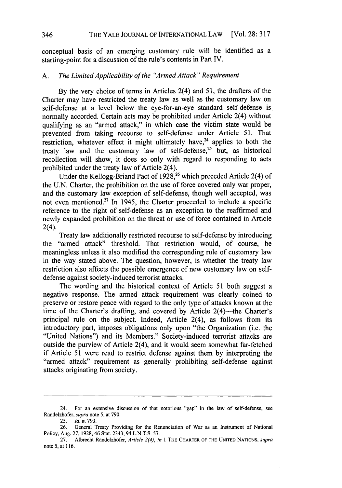conceptual basis of an emerging customary rule will be identified as a starting-point for a discussion of the rule's contents in Part IV.

#### A. *The Limited Applicability of the "Armed Attack" Requirement*

By the very choice of terms in Articles 2(4) and 51, the drafters of the Charter may have restricted the treaty law as well as the customary law on self-defense at a level below the eye-for-an-eye standard self-defense is normally accorded. Certain acts may be prohibited under Article 2(4) without qualifying as an "armed attack," in which case the victim state would be prevented from taking recourse to self-defense under Article 51. That restriction, whatever effect it might ultimately have, $24$  applies to both the treaty law and the customary law of self-defense,<sup>25</sup> but, as historical recollection will show, it does so only with regard to responding to acts prohibited under the treaty law of Article 2(4).

Under the Kellogg-Briand Pact of  $1928<sup>26</sup>$  which preceded Article 2(4) of the U.N. Charter, the prohibition on the use of force covered only war proper, and the customary law exception of self-defense, though well accepted, was not even mentioned.<sup>27</sup> In 1945, the Charter proceeded to include a specific reference to the right of self-defense as an exception to the reaffirmed and newly expanded prohibition on the threat or use of force contained in Article 2(4).

Treaty law additionally restricted recourse to self-defense by introducing the "armed attack" threshold. That restriction would, of course, be meaningless unless it also modified the corresponding rule of customary law in the way stated above. The question, however, is whether the treaty law restriction also affects the possible emergence of new customary law on selfdefense against society-induced terrorist attacks.

The wording and the historical context of Article 51 both suggest a negative response. The armed attack requirement was clearly coined to preserve or restore peace with regard to the only type of attacks known at the time of the Charter's drafting, and covered by Article 2(4)-the Charter's principal rule on the subject. Indeed, Article 2(4), as follows from its introductory part, imposes obligations only upon "the Organization (i.e. the "United Nations") and its Members." Society-induced terrorist attacks are outside the purview of Article 2(4), and it would seem somewhat far-fetched if Article 51 were read to restrict defense against them by interpreting the "armed attack" requirement as generally prohibiting self-defense against attacks originating from society.

<sup>24.</sup> For an extensive discussion of that notorious "gap" in the law of self-defense, see Randelzhofer, *supra* note **5,** at 790.

<sup>25.</sup> *Id.* at 793.

<sup>26.</sup> General Treaty Providing for the Renunciation of War as an Instrument of National Policy, Aug. 27, 1928, 46 Stat. 2343, 94 L.N.T.S. 57.

<sup>27.</sup> Albrecht Randelzhofer, *Article 2(4), in* **I** THE CHARTER OF THE **UNITED NATIONS,** *supra* note 5, at 116.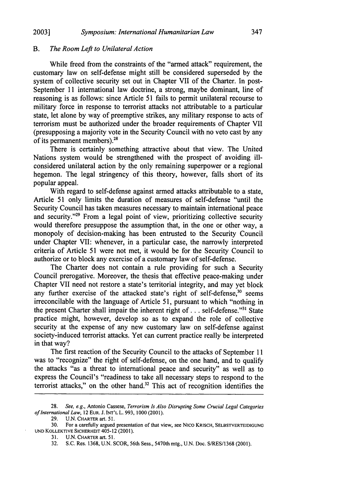## B. *The Room Left to Unilateral Action*

While freed from the constraints of the "armed attack" requirement, the customary law on self-defense might still be considered superseded by the system of collective security set out in Chapter VII of the Charter. In post-September 11 international law doctrine, a strong, maybe dominant, line of reasoning is as follows: since Article 51 fails to permit unilateral recourse to military force in response to terrorist attacks not attributable to a particular state, let alone by way of preemptive strikes, any military response to acts of terrorism must be authorized under the broader requirements of Chapter VII (presupposing a majority vote in the Security Council with no veto cast by any of its permanent members).28

There is certainly something attractive about that view. The United Nations system would be strengthened with the prospect of avoiding illconsidered unilateral action by the only remaining superpower or a regional hegemon. The legal stringency of this theory, however, falls short of its popular appeal.

With regard to self-defense against armed attacks attributable to a state, Article 51 only limits the duration of measures of self-defense "until the Security Council has taken measures necessary to maintain international peace and security."29 From a legal point of view, prioritizing collective security would therefore presuppose the assumption that, in the one or other way, a monopoly of decision-making has been entrusted to the Security Council under Chapter VII: whenever, in a particular case, the narrowly interpreted criteria of Article 51 were not met, it would be for the Security Council to authorize or to block any exercise of a customary law of self-defense.

The Charter does not contain a rule providing for such a Security Council prerogative. Moreover, the thesis that effective peace-making under Chapter VII need not restore a state's territorial integrity, and may yet block any further exercise of the attacked state's right of self-defense, $30$  seems irreconcilable with the language of Article 51, pursuant to which "nothing in the present Charter shall impair the inherent right of . . . self-defense."<sup>31</sup> State practice might, however, develop so as to expand the role of collective security at the expense of any new customary law on self-defense against society-induced terrorist attacks. Yet can current practice really be interpreted in that way?

The first reaction of the Security Council to the attacks of September 11 was to "recognize" the right of self-defense, on the one hand, and to qualify the attacks "as a threat to international peace and security" as well as to express the Council's "readiness to take all necessary steps to respond to the terrorist attacks," on the other hand. $32$  This act of recognition identifies the

<sup>28.</sup> *See, e.g.,* Antonio Cassese, *Terrorism Is Also Disrupting Some Crucial Legal Categories ofInternational Law,* 12 EUR. J. **INT'L** L. 993, 1000 (2001).

<sup>29.</sup> U.N. CHARTER art. 5 *1.*

<sup>30.</sup> For a carefully argued presentation of that view, see Nico KRISCH, **SELBSTVERTEIDIGUNG UND** KOLLEKTIVE SICHERHEIT 405-12 (2001).

<sup>31.</sup> U.N. CHARTER art. 51.

<sup>32.</sup> S.C. Res. 1368, U.N. SCOR, 56th Sess., 5470th mtg., U.N. Doc. S/RES/1368 (2001).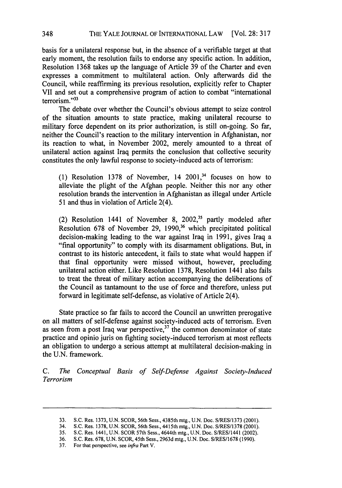basis for a unilateral response but, in the absence of a verifiable target at that early moment, the resolution fails to endorse any specific action. In addition, Resolution 1368 takes up the language of Article 39 of the Charter and even expresses a commitment to multilateral action. Only afterwards did the Council, while reaffirming its previous resolution, explicitly refer to Chapter VII and set out a comprehensive program of action to combat "international terrorism."33

The debate over whether the Council's obvious attempt to seize control of the situation amounts to state practice, making unilateral recourse to military force dependent on its prior authorization, is still on-going. So far, neither the Council's reaction to the military intervention in Afghanistan, nor its reaction to what, in November 2002, merely amounted to a threat of unilateral action against Iraq permits the conclusion that collective security constitutes the only lawful response to society-induced acts of terrorism:

(1) Resolution 1378 of November,  $14 \cdot 2001$ ,<sup>34</sup> focuses on how to alleviate the plight of the Afghan people. Neither this nor any other resolution brands the intervention in Afghanistan as illegal under Article 51 and thus in violation of Article 2(4).

(2) Resolution 1441 of November 8, 2002,<sup>35</sup> partly modeled after Resolution 678 of November 29, 1990,<sup>36</sup> which precipitated political decision-making leading to the war against Iraq in 1991, gives Iraq a "final opportunity" to comply with its disarmament obligations. But, in contrast to its historic antecedent, it fails to state what would happen if that final opportunity were missed without, however, precluding unilateral action either. Like Resolution 1378, Resolution 1441 also fails to treat the threat of military action accompanying the deliberations of the Council as tantamount to the use of force and therefore, unless put forward in legitimate self-defense, as violative of Article 2(4).

State practice so far fails to accord the Council an unwritten prerogative on all matters of self-defense against society-induced acts of terrorism. Even as seen from a post Iraq war perspective,  $37$  the common denominator of state practice and opinio juris on fighting society-induced terrorism at most reflects an obligation to undergo a serious attempt at multilateral decision-making in the U.N. framework.

C. *The Conceptual Basis of Self-Defense Against Society-Induced Terrorism*

<sup>33.</sup> S.C. Res. 1373, U.N. SCOR, 56th Sess., 4385th mtg., U.N. Doc. S/RES/1373 (2001).

<sup>34.</sup> S.C. Res. 1378, U.N. SCOR, 56th Sess., 4415th mtg., U.N. Doe. S/RES/1378 (2001).

<sup>35.</sup> S.C. Res. 1441, U.N. SCOR 57th Sess., 4644th mtg., U.N. Doe. SIRES/1441 (2002).

<sup>36.</sup> S.C. Res. 678, U.N. SCOR, 45th Sess., 2963d mtg., U.N. Doc. S/RES/1678 (1990).<br>37. For that perspective, see infra Part V.

For that perspective, see infra Part V.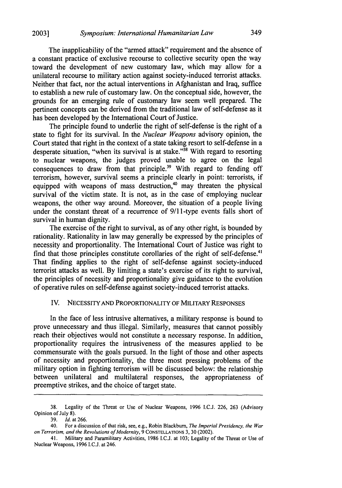## The inapplicability of the "armed attack" requirement and the absence of a constant practice of exclusive recourse to collective security open the way toward the development of new customary law, which may allow for a unilateral recourse to military action against society-induced terrorist attacks. Neither that fact, nor the actual interventions in Afghanistan and Iraq, suffice to establish a new rule of customary law. On the conceptual side, however, the grounds for an emerging rule of customary law seem well prepared. The pertinent concepts can be derived from the traditional law of self-defense as it has been developed by the International Court of Justice.

The principle found to underlie the right of self-defense is the right of a state to fight for its survival. In the *Nuclear Weapons* advisory opinion, the Court stated that right in the context of a state taking resort to self-defense in a desperate situation, "when its survival is at stake."<sup>38</sup> With regard to resorting to nuclear weapons, the judges proved unable to agree on the legal consequences to draw from that principle.<sup>39</sup> With regard to fending off terrorism, however, survival seems a principle clearly in point: terrorists, if equipped with weapons of mass destruction,<sup>40</sup> may threaten the physical survival of the victim state. It is not, as in the case of employing nuclear weapons, the other way around. Moreover, the situation of a people living under the constant threat of a recurrence of 9/11-type events falls short of survival in human dignity.

The exercise of the right to survival, as of any other right, is bounded by rationality. Rationality in law may generally be expressed by the principles of necessity and proportionality. The International Court of Justice was right to find that those principles constitute corollaries of the right of self-defense. 4' That finding applies to the right of self-defense against society-induced terrorist attacks as well. By limiting a state's exercise of its right to survival, the principles of necessity and proportionality give guidance to the evolution of operative rules on self-defense against society-induced terrorist attacks.

## IV. NECESSITY AND PROPORTIONALITY OF MILITARY RESPONSES

In the face of less intrusive alternatives, a military response is bound to prove unnecessary and thus illegal. Similarly, measures that cannot possibly reach their objectives would not constitute a necessary response. In addition, proportionality requires the intrusiveness of the measures applied to be commensurate with the goals pursued. In the light of those and other aspects of necessity and proportionality, the three most pressing problems of the military option in fighting terrorism will be discussed below: the relationship between unilateral and multilateral responses, the appropriateness of preemptive strikes, and the choice of target state.

<sup>38.</sup> Legality of the Threat or Use of Nuclear Weapons, 1996 I.C.J. 226, 263 (Advisory Opinion of July 8).

<sup>39.</sup> *Id.* at 266.

<sup>40.</sup> For a discussion of that risk, see, e.g., Robin Blackburn, *The Imperial Presidency, the War on Terrorism, and the Revolutions of Modernity,* 9 CONSTELLATIONS 3, 30 (2002).

<sup>41.</sup> Military and Paramilitary Activities, 1986 I.C.J. at 103; Legality of the Threat or Use of Nuclear Weapons, 1996 I.C.J. at 246.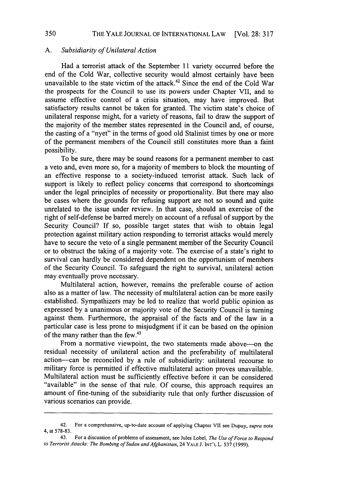#### A. *Subsidiarity of Unilateral Action*

Had a terrorist attack of the September 11 variety occurred before the end of the Cold War, collective security would almost certainly have been unavailable to the state victim of the attack.<sup>42</sup> Since the end of the Cold War the prospects for the Council to use its powers under Chapter VII, and to assume effective control of a crisis situation, may have improved. But satisfactory results cannot be taken for granted. The victim state's choice of unilateral response might, for a variety of reasons, fail to draw the support of the majority of the member states represented in the Council and, of course, the casting of a "nyet" in the terms of good old Stalinist times by one or more of the permanent members of the Council still constitutes more than a faint possibility.

To be sure, there may be sound reasons for a permanent member to cast a veto and, even more so, for a majority of members to block the mounting of an effective response to a society-induced terrorist attack. Such lack of support is likely to reflect policy concerns that correspond to shortcomings under the legal principles of necessity or proportionality. But there may also be cases where the grounds for refusing support are not so sound and quite unrelated to the issue under review. In that case, should an exercise of the right of self-defense be barred merely on account of a refusal of support by the Security Council? If so, possible target states that wish to obtain legal protection against military action responding to terrorist attacks would merely have to secure the veto of a single permanent member of the Security Council or to obstruct the taking of a majority vote. The exercise of a state's right to survival can hardly be considered dependent on the opportunism of members of the Security Council. To safeguard the right to survival, unilateral action may eventually prove necessary.

Multilateral action, however, remains the preferable course of action also as a matter of law. The necessity of multilateral action can be more easily established. Sympathizers may be led to realize that world public opinion as expressed by a unanimous or majority vote of the Security Council is turning against them. Furthermore, the appraisal of the facts and of the law in a particular case is less prone to misjudgment if it can be based on the opinion of the many rather than the few.43

From a normative viewpoint, the two statements made above-on the residual necessity of unilateral action and the preferability of multilateral action-can be reconciled by a rule of subsidiarity: unilateral recourse to military force is permitted if effective multilateral action proves unavailable. Multilateral action must be sufficiently effective before it can be considered "available" in the sense of that rule. Of course, this approach requires an amount of fine-tuning of the subsidiarity rule that only further discussion of various scenarios can provide.

43. For a discussion of problems of assessment, see Jules Lobel, *The Use of Force to Respond to Terrorist Attacks: The Bombing of Sudan and Afghanistan,* 24 YALE J. **INT'L** L. 537 **(1999).**

350

<sup>42.</sup> For a comprehensive, up-to-date account of applying Chapter VII see Dupuy, *supra* note 4, at 578-83.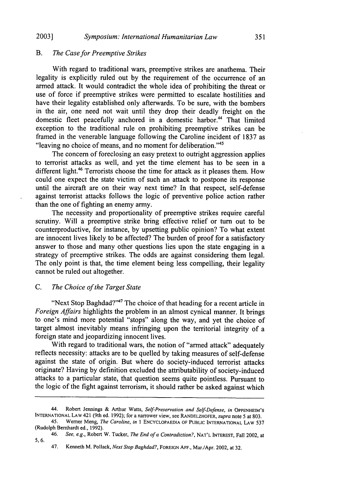## B. *The Case for Preemptive Strikes*

With regard to traditional wars, preemptive strikes are anathema. Their legality is explicitly ruled out by the requirement of the occurrence of an armed attack. It would contradict the whole idea of prohibiting the threat or use of force if preemptive strikes were permitted to escalate hostilities and have their legality established only afterwards. To be sure, with the bombers in the air, one need not wait until they drop their deadly freight on the domestic fleet peacefully anchored in a domestic harbor.<sup>44</sup> That limited exception to the traditional rule on prohibiting preemptive strikes can be framed in the venerable language following the Caroline incident of 1837 as "leaving no choice of means, and no moment for deliberation."<sup>45</sup>

The concern of foreclosing an easy pretext to outright aggression applies to terrorist attacks as well, and yet the time element has to be seen in a different light.<sup>46</sup> Terrorists choose the time for attack as it pleases them. How could one expect the state victim of such an attack to postpone its response until the aircraft are on their way next time? In that respect, self-defense against terrorist attacks follows the logic of preventive police action rather than the one of fighting an enemy army.

The necessity and proportionality of preemptive strikes require careful scrutiny. Will a preemptive strike bring effective relief or turn out to be counterproductive, for instance, by upsetting public opinion? To what extent are innocent lives likely to be affected? The burden of proof for a satisfactory answer to those and many other questions lies upon the state engaging in a strategy of preemptive strikes. The odds are against considering them legal. The only point is that, the time element being less compelling, their legality cannot be ruled out altogether.

## C. *The Choice of the Target State*

"Next Stop Baghdad?"<sup>47</sup> The choice of that heading for a recent article in *Foreign Affairs* highlights the problem in an almost cynical manner. It brings to one's mind more potential "stops" along the way, and yet the choice of target almost inevitably means infringing upon the territorial integrity of a foreign state and jeopardizing innocent lives.

With regard to traditional wars, the notion of "armed attack" adequately reflects necessity: attacks are to be quelled by taking measures of self-defense against the state of origin. But where do society-induced terrorist attacks originate? Having by definition excluded the attributability of society-induced attacks to a particular state, that question seems quite pointless. Pursuant to the logic of the fight against terrorism, it should rather be asked against which

<sup>44.</sup> Robert Jennings & Arthur Watts, *Self-Preservation and Self-Defense, in* OPPENHEIM'S **INTERNATIONAL** LAW 421 (9th ed. 1992); for a narrower view, see RANDELZHOFER, *supra* note 5 at 803.

<sup>45.</sup> Wemer Meng, *The Caroline, in* **I** ENCYCLOPAEDIA OF PUBLIC INTERNATIONAL LAW 537 (Rudolph Bernhardt ed., 1992).

<sup>46.</sup> *See, e.g.,* Robert W. Tucker, *The End of a Contradiction?,* NAT'L INTEREST, Fall 2002, at 5,6.

<sup>47.</sup> Kenneth M. Pollack, *Next Stop Baghdad?,* FOREIGN AFF., Mar./Apr. 2002, at 32.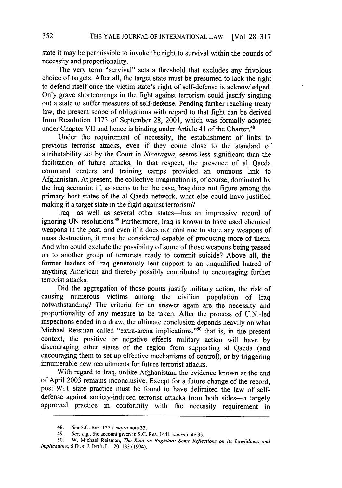state it may be permissible to invoke the right to survival within the bounds of necessity and proportionality.

The very term "survival" sets a threshold that excludes any frivolous choice of targets. After all, the target state must be presumed to lack the right to defend itself once the victim state's right of self-defense is acknowledged. Only grave shortcomings in the fight against terrorism could justify singling out a state to suffer measures of self-defense. Pending farther reaching treaty law, the present scope of obligations with regard to that fight can be derived from Resolution 1373 of September 28, 2001, which was formally adopted under Chapter VII and hence is binding under Article 41 of the Charter.<sup>48</sup>

Under the requirement of necessity, the establishment of links to previous terrorist attacks, even if they come close to the standard of attributability set by the Court in *Nicaragua,* seems less significant than the facilitation of future attacks. In that respect, the presence of al Qaeda command centers and training camps provided an ominous link to Afghanistan. At present, the collective imagination is, of course, dominated by the Iraq scenario: if, as seems to be the case, Iraq does not figure among the primary host states of the al Qaeda network, what else could have justified making it a target state in the fight against terrorism?

Iraq-as well as several other states-has an impressive record of ignoring UN resolutions.49 Furthermore, Iraq is known to have used chemical weapons in the past, and even if it does not continue to store any weapons of mass destruction, it must be considered capable of producing more of them. And who could exclude the possibility of some of those weapons being passed on to another group of terrorists ready to commit suicide? Above all, the former leaders of Iraq generously lent support to an unqualified hatred of anything American and thereby possibly contributed to encouraging further terrorist attacks.

Did the aggregation of those points justify military action, the risk of causing numerous victims among the civilian population of Iraq notwithstanding? The criteria for an answer again are the necessity and proportionality of any measure to be taken. After the process of U.N.-led inspections ended in a draw, the ultimate conclusion depends heavily on what Michael Reisman called "extra-arena implications,"<sup>50</sup> that is, in the present context, the positive or negative effects military action will have by discouraging other states of the region from supporting al Qaeda (and encouraging them to set up effective mechanisms of control), or by triggering innumerable new recruitments for future terrorist attacks.

With regard to Iraq, unlike Afghanistan, the evidence known at the end of April 2003 remains inconclusive. Except for a future change of the record, post 9/11 state practice must be found to have delimited the law of selfdefense against society-induced terrorist attacks from both sides-a largely approved practice in conformity with the necessity requirement in

<sup>48.</sup> *See* S.C. Res. 1373, *supra* note 33.

<sup>49.</sup> *See, e.g.,* the account given in S.C. Res. 1441, *supra* note 35.

<sup>50.</sup> W. Michael Reisman, *The Raid on Baghdad: Some Reflections on its Lawfulness and Implications,* 5 **EUR.** J. **INT'L** L. 120, 133 (1994).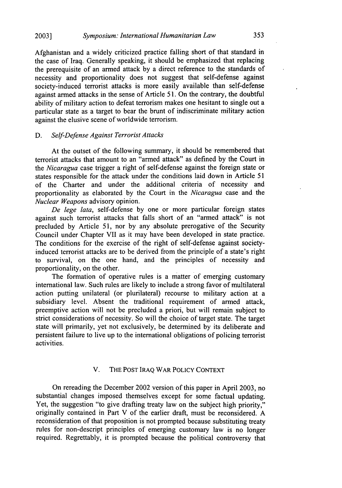Afghanistan and a widely criticized practice falling short of that standard in the case of Iraq. Generally speaking, it should be emphasized that replacing the prerequisite of an armed attack by a direct reference to the standards of necessity and proportionality does not suggest that self-defense against society-induced terrorist attacks is more easily available than self-defense against armed attacks in the sense of Article 51. On the contrary, the doubtful ability of military action to defeat terrorism makes one hesitant to single out a particular state as a target to bear the brunt of indiscriminate military action against the elusive scene of worldwide terrorism.

#### D. *Self-Defense Against Terrorist Attacks*

At the outset of the following summary, it should be remembered that terrorist attacks that amount to an "armed attack" as defined by the Court in the *Nicaragua* case trigger a right of self-defense against the foreign state or states responsible for the attack under the conditions laid down in Article 51 of the Charter and under the additional criteria of necessity and proportionality as elaborated by the Court in the *Nicaragua* case and the *Nuclear Weapons* advisory opinion.

*De lege lata,* self-defense by one or more particular foreign states against such terrorist attacks that falls short of an "armed attack" is not precluded by Article 51, nor by any absolute prerogative of the Security Council under Chapter VII as it may have been developed in state practice. The conditions for the exercise of the right of self-defense against societyinduced terrorist attacks are to be derived from the principle of a state's right to survival, on the one hand, and the principles of necessity and proportionality, on the other.

The formation of operative rules is a matter of emerging customary international law. Such rules are likely to include a strong favor of multilateral action putting unilateral (or plurilateral) recourse to military action at a subsidiary level. Absent the traditional requirement of armed attack, preemptive action will not be precluded a priori, but will remain subject to strict considerations of necessity. So will the choice of target state. The target state will primarily, yet not exclusively, be determined by its deliberate and persistent failure to live up to the international obligations of policing terrorist activities.

## V. THE POST IRAQ WAR POLICY **CONTEXT**

On rereading the December 2002 version of this paper in April 2003, no substantial changes imposed themselves except for some factual updating. Yet, the suggestion "to give drafting treaty law on the subject high priority," originally contained in Part V of the earlier draft, must be reconsidered. A reconsideration of that proposition is not prompted because substituting treaty rules for non-descript principles of emerging customary law is no longer required. Regrettably, it is prompted because the political controversy that